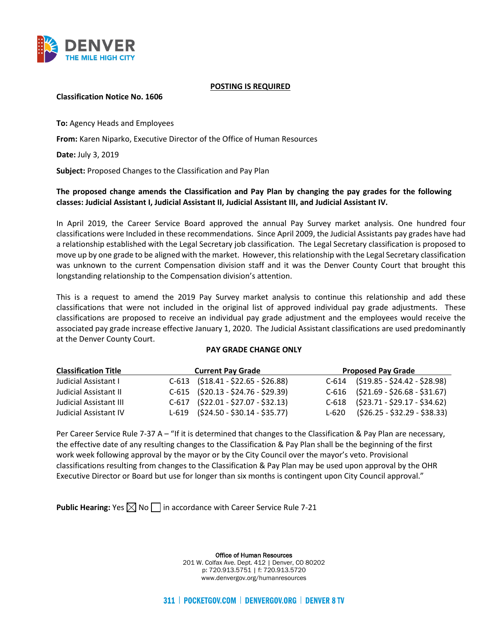

#### **POSTING IS REQUIRED**

### **Classification Notice No. 1606**

**To:** Agency Heads and Employees

**From:** Karen Niparko, Executive Director of the Office of Human Resources

**Date:** July 3, 2019

**Subject:** Proposed Changes to the Classification and Pay Plan

# **The proposed change amends the Classification and Pay Plan by changing the pay grades for the following classes: Judicial Assistant I, Judicial Assistant II, Judicial Assistant III, and Judicial Assistant IV.**

In April 2019, the Career Service Board approved the annual Pay Survey market analysis. One hundred four classifications were Included in these recommendations. Since April 2009, the Judicial Assistants pay grades have had a relationship established with the Legal Secretary job classification. The Legal Secretary classification is proposed to move up by one grade to be aligned with the market. However, this relationship with the Legal Secretary classification was unknown to the current Compensation division staff and it was the Denver County Court that brought this longstanding relationship to the Compensation division's attention.

This is a request to amend the 2019 Pay Survey market analysis to continue this relationship and add these classifications that were not included in the original list of approved individual pay grade adjustments. These classifications are proposed to receive an individual pay grade adjustment and the employees would receive the associated pay grade increase effective January 1, 2020. The Judicial Assistant classifications are used predominantly at the Denver County Court.

#### **PAY GRADE CHANGE ONLY**

| <b>Classification Title</b>   | <b>Current Pay Grade</b> |                                      | <b>Proposed Pay Grade</b>            |  |
|-------------------------------|--------------------------|--------------------------------------|--------------------------------------|--|
| Judicial Assistant I          |                          | $C-613$ $(518.41 - 522.65 - 526.88)$ | $C-614$ $(519.85 - 524.42 - 528.98)$ |  |
| Judicial Assistant II         |                          | $C-615$ $(520.13 - 524.76 - 529.39)$ | $C-616$ $(521.69 - 526.68 - 531.67)$ |  |
| <b>Judicial Assistant III</b> |                          | $C-617$ $(522.01 - 527.07 - 532.13)$ | $C-618$ $(523.71 - 529.17 - 534.62)$ |  |
| <b>Judicial Assistant IV</b>  |                          | $L-619$ $(524.50 - 530.14 - 535.77)$ | $L-620$ $(526.25 - 532.29 - 538.33)$ |  |

Per Career Service Rule 7-37 A – "If it is determined that changes to the Classification & Pay Plan are necessary, the effective date of any resulting changes to the Classification & Pay Plan shall be the beginning of the first work week following approval by the mayor or by the City Council over the mayor's veto. Provisional classifications resulting from changes to the Classification & Pay Plan may be used upon approval by the OHR Executive Director or Board but use for longer than six months is contingent upon City Council approval."

**Public Hearing:** Yes  $\boxtimes$  No  $\Box$  in accordance with Career Service Rule 7-21

Office of Human Resources 201 W. Colfax Ave. Dept. 412 | Denver, CO 80202 p: 720.913.5751 | f: 720.913.5720 www.denvergov.org/humanresources